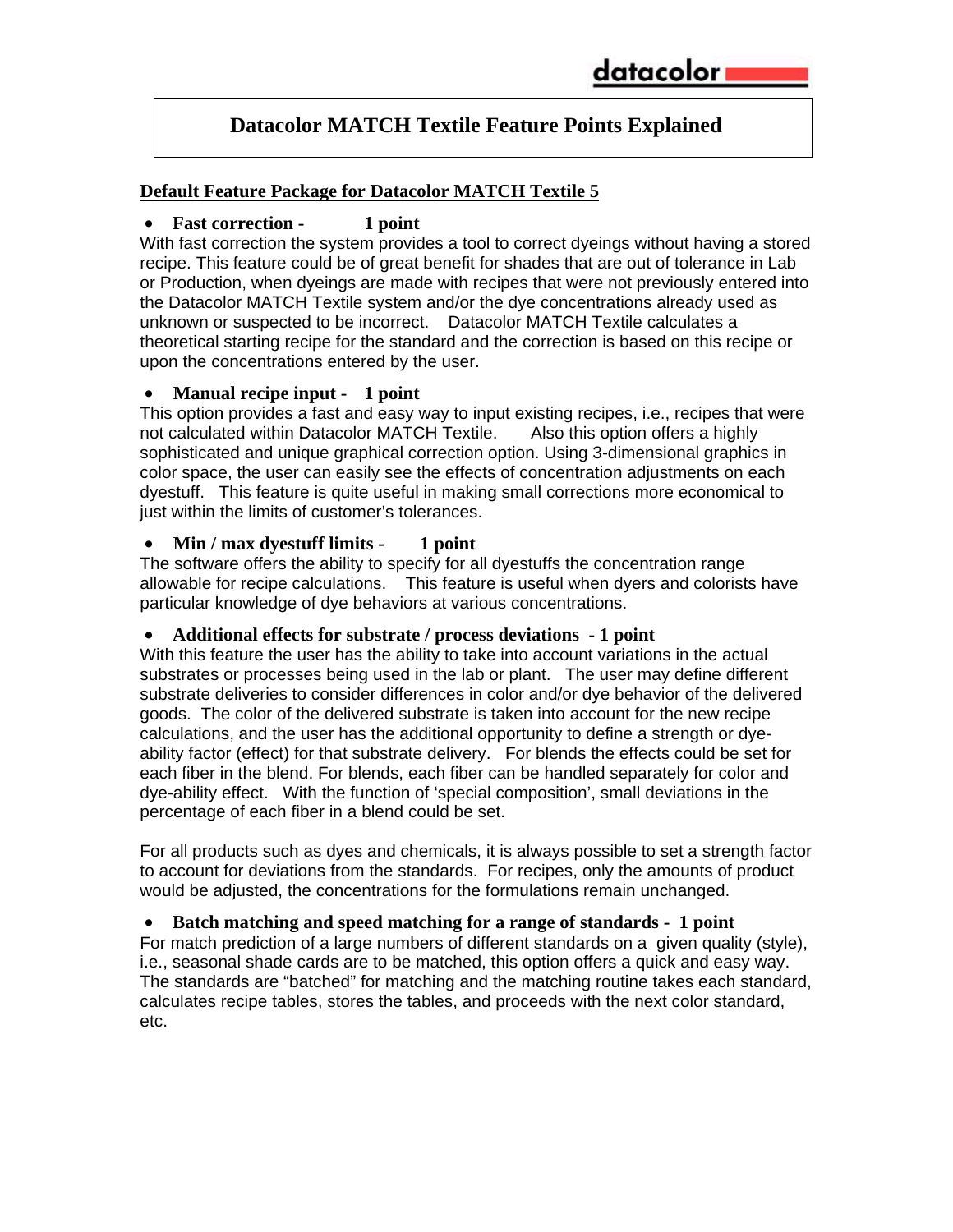# **Datacolor MATCH Textile Feature Points Explained**

# **Default Feature Package for Datacolor MATCH Textile 5**

#### • **Fast correction - 1 point**

With fast correction the system provides a tool to correct dyeings without having a stored recipe. This feature could be of great benefit for shades that are out of tolerance in Lab or Production, when dyeings are made with recipes that were not previously entered into the Datacolor MATCH Textile system and/or the dye concentrations already used as unknown or suspected to be incorrect. Datacolor MATCH Textile calculates a theoretical starting recipe for the standard and the correction is based on this recipe or upon the concentrations entered by the user.

#### • **Manual recipe input - 1 point**

This option provides a fast and easy way to input existing recipes, i.e., recipes that were not calculated within Datacolor MATCH Textile. Also this option offers a highly sophisticated and unique graphical correction option. Using 3-dimensional graphics in color space, the user can easily see the effects of concentration adjustments on each dyestuff. This feature is quite useful in making small corrections more economical to just within the limits of customer's tolerances.

#### • **Min / max dyestuff limits - 1 point**

The software offers the ability to specify for all dyestuffs the concentration range allowable for recipe calculations. This feature is useful when dyers and colorists have particular knowledge of dye behaviors at various concentrations.

#### • **Additional effects for substrate / process deviations - 1 point**

With this feature the user has the ability to take into account variations in the actual substrates or processes being used in the lab or plant. The user may define different substrate deliveries to consider differences in color and/or dye behavior of the delivered goods. The color of the delivered substrate is taken into account for the new recipe calculations, and the user has the additional opportunity to define a strength or dyeability factor (effect) for that substrate delivery. For blends the effects could be set for each fiber in the blend. For blends, each fiber can be handled separately for color and dye-ability effect. With the function of 'special composition', small deviations in the percentage of each fiber in a blend could be set.

For all products such as dyes and chemicals, it is always possible to set a strength factor to account for deviations from the standards. For recipes, only the amounts of product would be adjusted, the concentrations for the formulations remain unchanged.

#### • **Batch matching and speed matching for a range of standards - 1 point**

For match prediction of a large numbers of different standards on a given quality (style), i.e., seasonal shade cards are to be matched, this option offers a quick and easy way. The standards are "batched" for matching and the matching routine takes each standard, calculates recipe tables, stores the tables, and proceeds with the next color standard, etc.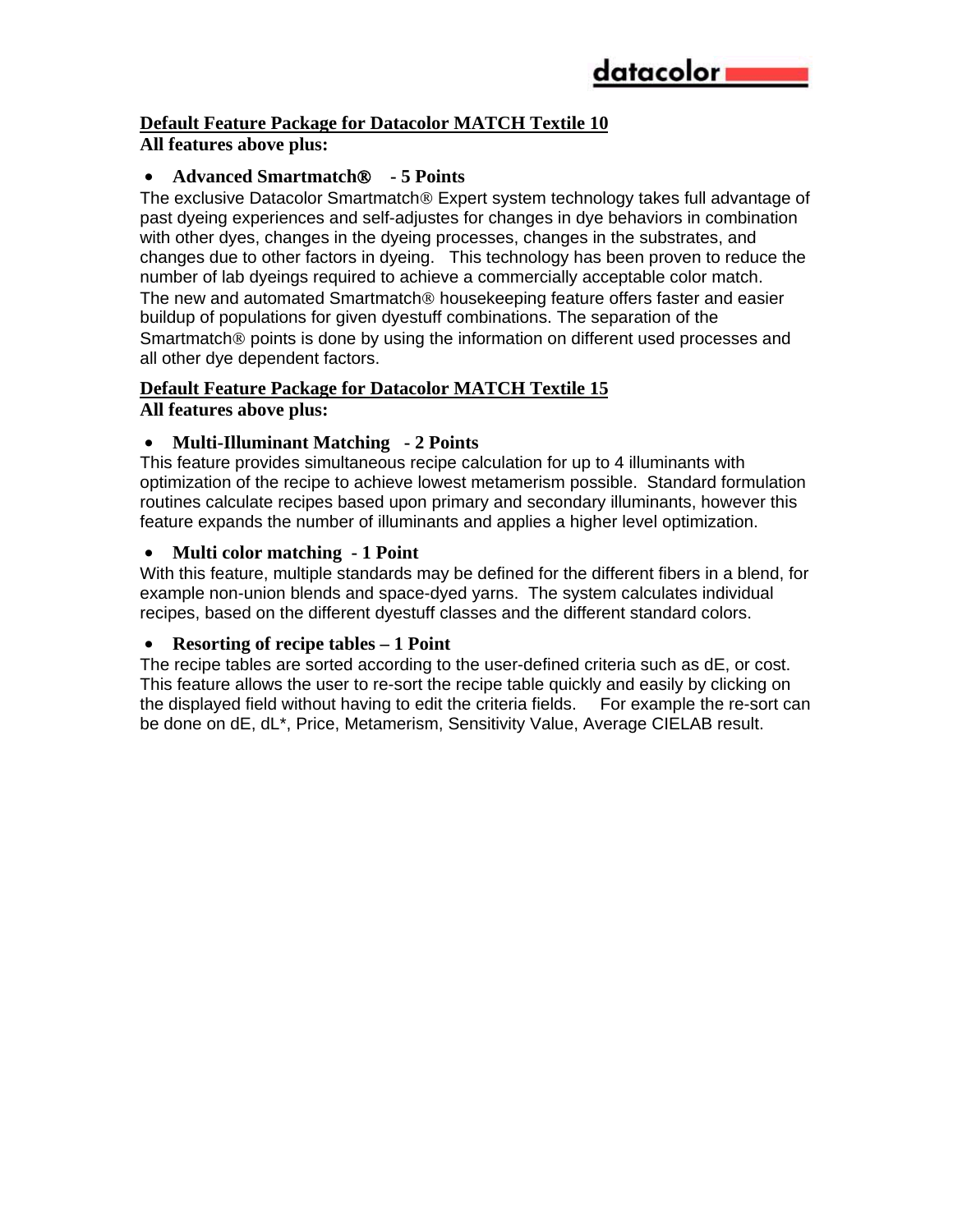# **Default Feature Package for Datacolor MATCH Textile 10**

**All features above plus:**

#### • **Advanced Smartmatch**® **- 5 Points**

The exclusive Datacolor Smartmatch® Expert system technology takes full advantage of past dyeing experiences and self-adjustes for changes in dye behaviors in combination with other dyes, changes in the dyeing processes, changes in the substrates, and changes due to other factors in dyeing. This technology has been proven to reduce the number of lab dyeings required to achieve a commercially acceptable color match. The new and automated Smartmatch® housekeeping feature offers faster and easier buildup of populations for given dyestuff combinations. The separation of the Smartmatch® points is done by using the information on different used processes and all other dye dependent factors.

## **Default Feature Package for Datacolor MATCH Textile 15**

**All features above plus:**

#### • **Multi-Illuminant Matching - 2 Points**

This feature provides simultaneous recipe calculation for up to 4 illuminants with optimization of the recipe to achieve lowest metamerism possible. Standard formulation routines calculate recipes based upon primary and secondary illuminants, however this feature expands the number of illuminants and applies a higher level optimization.

#### • **Multi color matching - 1 Point**

With this feature, multiple standards may be defined for the different fibers in a blend, for example non-union blends and space-dyed yarns. The system calculates individual recipes, based on the different dyestuff classes and the different standard colors.

#### • **Resorting of recipe tables – 1 Point**

The recipe tables are sorted according to the user-defined criteria such as dE, or cost. This feature allows the user to re-sort the recipe table quickly and easily by clicking on the displayed field without having to edit the criteria fields. For example the re-sort can be done on dE, dL\*, Price, Metamerism, Sensitivity Value, Average CIELAB result.